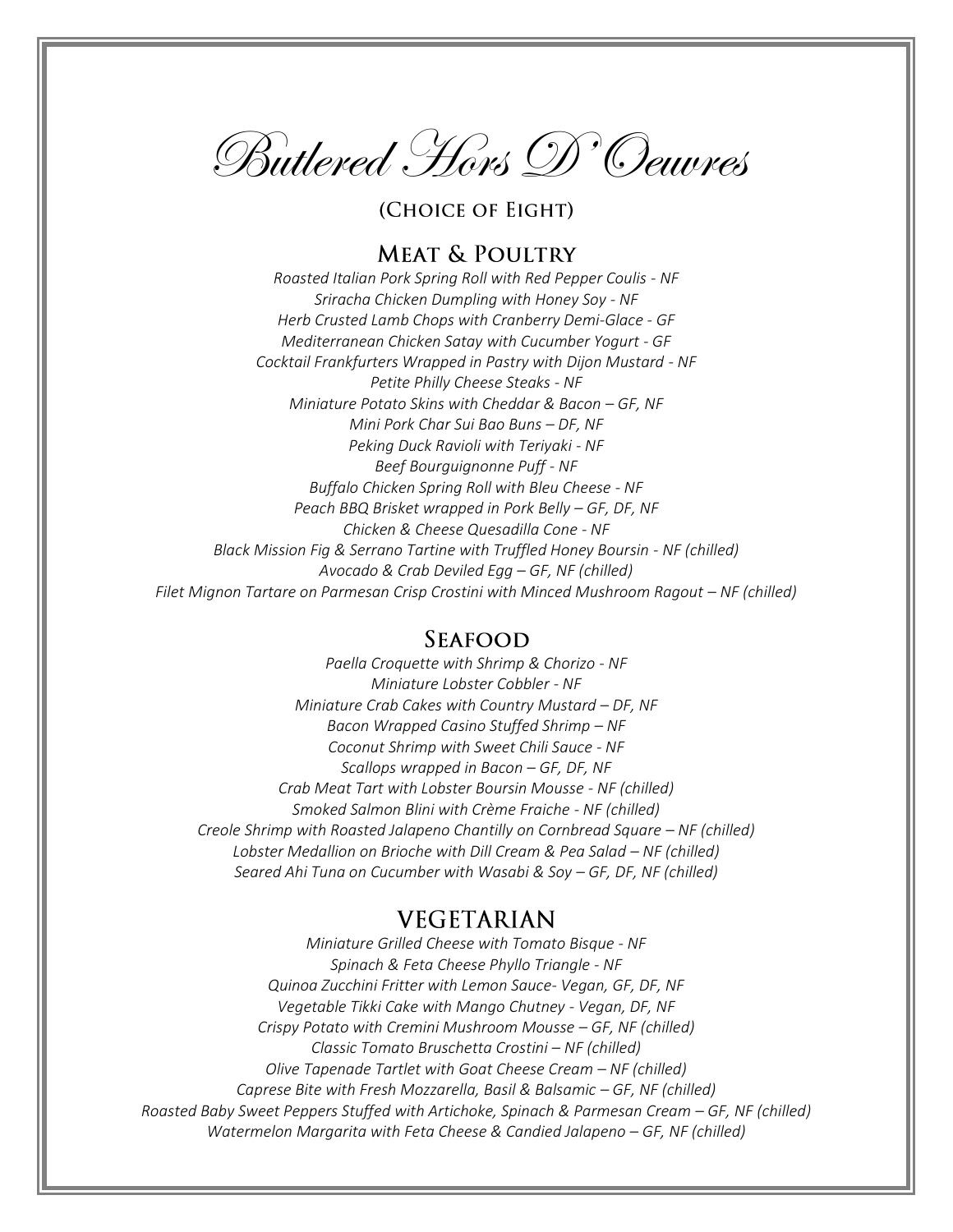Butlered Hors D'Oeuvres

(CHOICE OF EIGHT)

# **MEAT & POULTRY**

*Roasted Italian Pork Spring Roll with Red Pepper Coulis - NF Sriracha Chicken Dumpling with Honey Soy - NF Herb Crusted Lamb Chops with Cranberry Demi-Glace - GF Mediterranean Chicken Satay with Cucumber Yogurt - GF Cocktail Frankfurters Wrapped in Pastry with Dijon Mustard - NF Petite Philly Cheese Steaks - NF Miniature Potato Skins with Cheddar & Bacon – GF, NF Mini Pork Char Sui Bao Buns – DF, NF Peking Duck Ravioli with Teriyaki - NF Beef Bourguignonne Puff - NF Buffalo Chicken Spring Roll with Bleu Cheese - NF Peach BBQ Brisket wrapped in Pork Belly – GF, DF, NF Chicken & Cheese Quesadilla Cone - NF Black Mission Fig & Serrano Tartine with Truffled Honey Boursin - NF (chilled) Avocado & Crab Deviled Egg – GF, NF (chilled) Filet Mignon Tartare on Parmesan Crisp Crostini with Minced Mushroom Ragout – NF (chilled)*

### **SEAFOOD**

*Paella Croquette with Shrimp & Chorizo - NF Miniature Lobster Cobbler - NF Miniature Crab Cakes with Country Mustard – DF, NF Bacon Wrapped Casino Stuffed Shrimp – NF Coconut Shrimp with Sweet Chili Sauce - NF Scallops wrapped in Bacon – GF, DF, NF Crab Meat Tart with Lobster Boursin Mousse - NF (chilled) Smoked Salmon Blini with Crème Fraiche - NF (chilled) Creole Shrimp with Roasted Jalapeno Chantilly on Cornbread Square – NF (chilled) Lobster Medallion on Brioche with Dill Cream & Pea Salad – NF (chilled) Seared Ahi Tuna on Cucumber with Wasabi & Soy – GF, DF, NF (chilled)*

## **VEGETARIAN**

*Miniature Grilled Cheese with Tomato Bisque - NF Spinach & Feta Cheese Phyllo Triangle - NF Quinoa Zucchini Fritter with Lemon Sauce- Vegan, GF, DF, NF Vegetable Tikki Cake with Mango Chutney - Vegan, DF, NF Crispy Potato with Cremini Mushroom Mousse – GF, NF (chilled) Classic Tomato Bruschetta Crostini – NF (chilled) Olive Tapenade Tartlet with Goat Cheese Cream – NF (chilled) Caprese Bite with Fresh Mozzarella, Basil & Balsamic – GF, NF (chilled) Roasted Baby Sweet Peppers Stuffed with Artichoke, Spinach & Parmesan Cream – GF, NF (chilled) Watermelon Margarita with Feta Cheese & Candied Jalapeno – GF, NF (chilled)*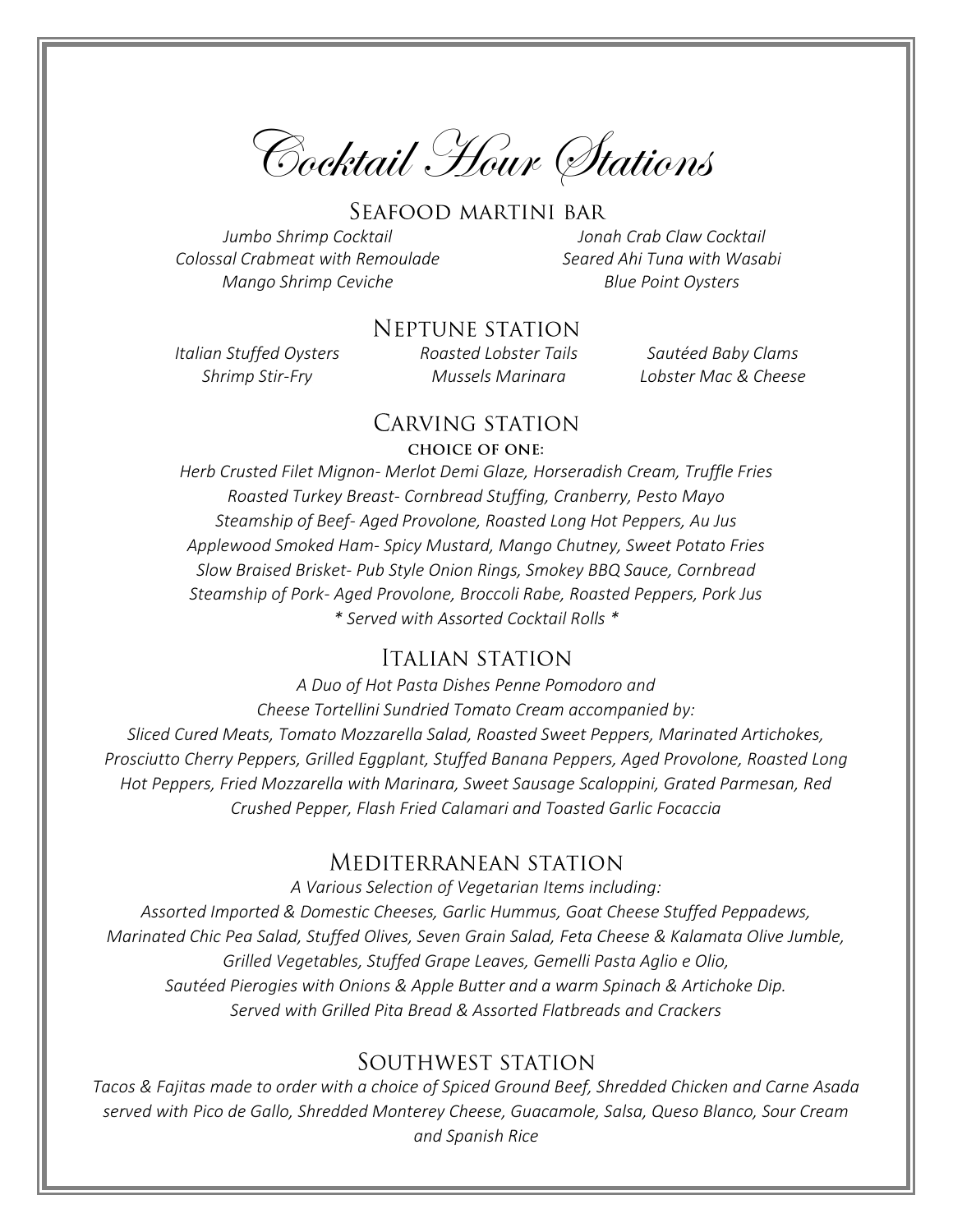Cocktail Hour Stations

#### SEAFOOD MARTINI BAR

*Jumbo Shrimp Cocktail Jonah Crab Claw Cocktail Colossal Crabmeat with Remoulade Seared Ahi Tuna with Wasabi Mango Shrimp Ceviche* Blue Point Oysters

### **NEPTUNE STATION**

*Italian Stuffed Oysters Roasted Lobster Tails Sautéed Baby Clams Shrimp Stir-Fry Mussels Marinara Lobster Mac & Cheese* 

### CARVING STATION

#### **CHOICE OF ONE:**

*Herb Crusted Filet Mignon- Merlot Demi Glaze, Horseradish Cream, Truffle Fries Roasted Turkey Breast- Cornbread Stuffing, Cranberry, Pesto Mayo Steamship of Beef- Aged Provolone, Roasted Long Hot Peppers, Au Jus Applewood Smoked Ham- Spicy Mustard, Mango Chutney, Sweet Potato Fries Slow Braised Brisket- Pub Style Onion Rings, Smokey BBQ Sauce, Cornbread Steamship of Pork- Aged Provolone, Broccoli Rabe, Roasted Peppers, Pork Jus \* Served with Assorted Cocktail Rolls \**

#### **ITALIAN STATION**

*A Duo of Hot Pasta Dishes Penne Pomodoro and Cheese Tortellini Sundried Tomato Cream accompanied by: Sliced Cured Meats, Tomato Mozzarella Salad, Roasted Sweet Peppers, Marinated Artichokes, Prosciutto Cherry Peppers, Grilled Eggplant, Stuffed Banana Peppers, Aged Provolone, Roasted Long Hot Peppers, Fried Mozzarella with Marinara, Sweet Sausage Scaloppini, Grated Parmesan, Red Crushed Pepper, Flash Fried Calamari and Toasted Garlic Focaccia*

### Mediterranean station

*A Various Selection of Vegetarian Items including: Assorted Imported & Domestic Cheeses, Garlic Hummus, Goat Cheese Stuffed Peppadews, Marinated Chic Pea Salad, Stuffed Olives, Seven Grain Salad, Feta Cheese & Kalamata Olive Jumble, Grilled Vegetables, Stuffed Grape Leaves, Gemelli Pasta Aglio e Olio, Sautéed Pierogies with Onions & Apple Butter and a warm Spinach & Artichoke Dip. Served with Grilled Pita Bread & Assorted Flatbreads and Crackers*

## SOUTHWEST STATION

*Tacos & Fajitas made to order with a choice of Spiced Ground Beef, Shredded Chicken and Carne Asada served with Pico de Gallo, Shredded Monterey Cheese, Guacamole, Salsa, Queso Blanco, Sour Cream and Spanish Rice*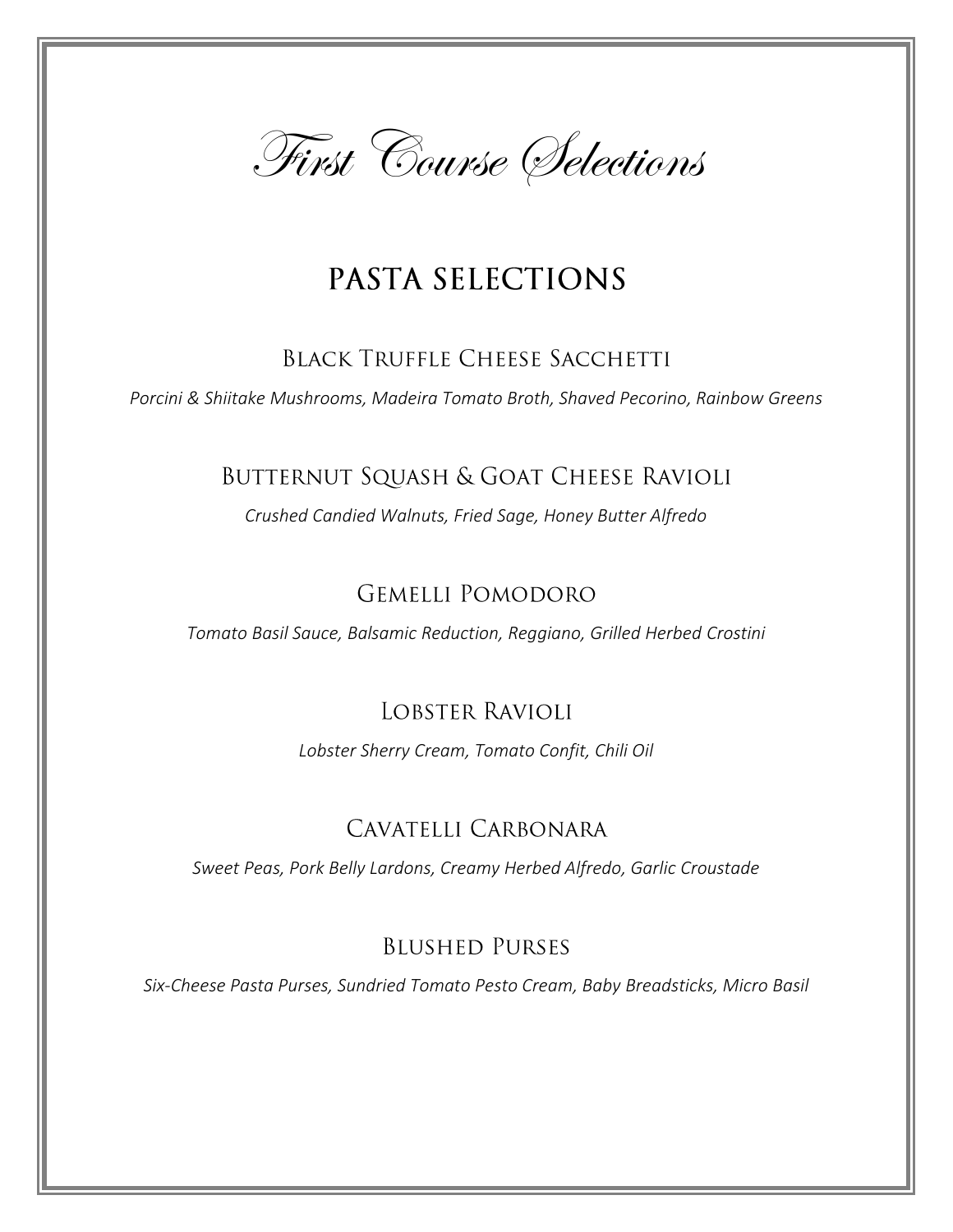

# PASTA SELECTIONS

## **BLACK TRUFFLE CHEESE SACCHETTI**

*Porcini & Shiitake Mushrooms, Madeira Tomato Broth, Shaved Pecorino, Rainbow Greens*

# BUTTERNUT SQUASH & GOAT CHEESE RAVIOLI

*Crushed Candied Walnuts, Fried Sage, Honey Butter Alfredo*

# **GEMELLI POMODORO**

*Tomato Basil Sauce, Balsamic Reduction, Reggiano, Grilled Herbed Crostini*

# **LOBSTER RAVIOLI**

*Lobster Sherry Cream, Tomato Confit, Chili Oil*

# CAVATELLI CARBONARA

*Sweet Peas, Pork Belly Lardons, Creamy Herbed Alfredo, Garlic Croustade*

## **BLUSHED PURSES**

*Six-Cheese Pasta Purses, Sundried Tomato Pesto Cream, Baby Breadsticks, Micro Basil*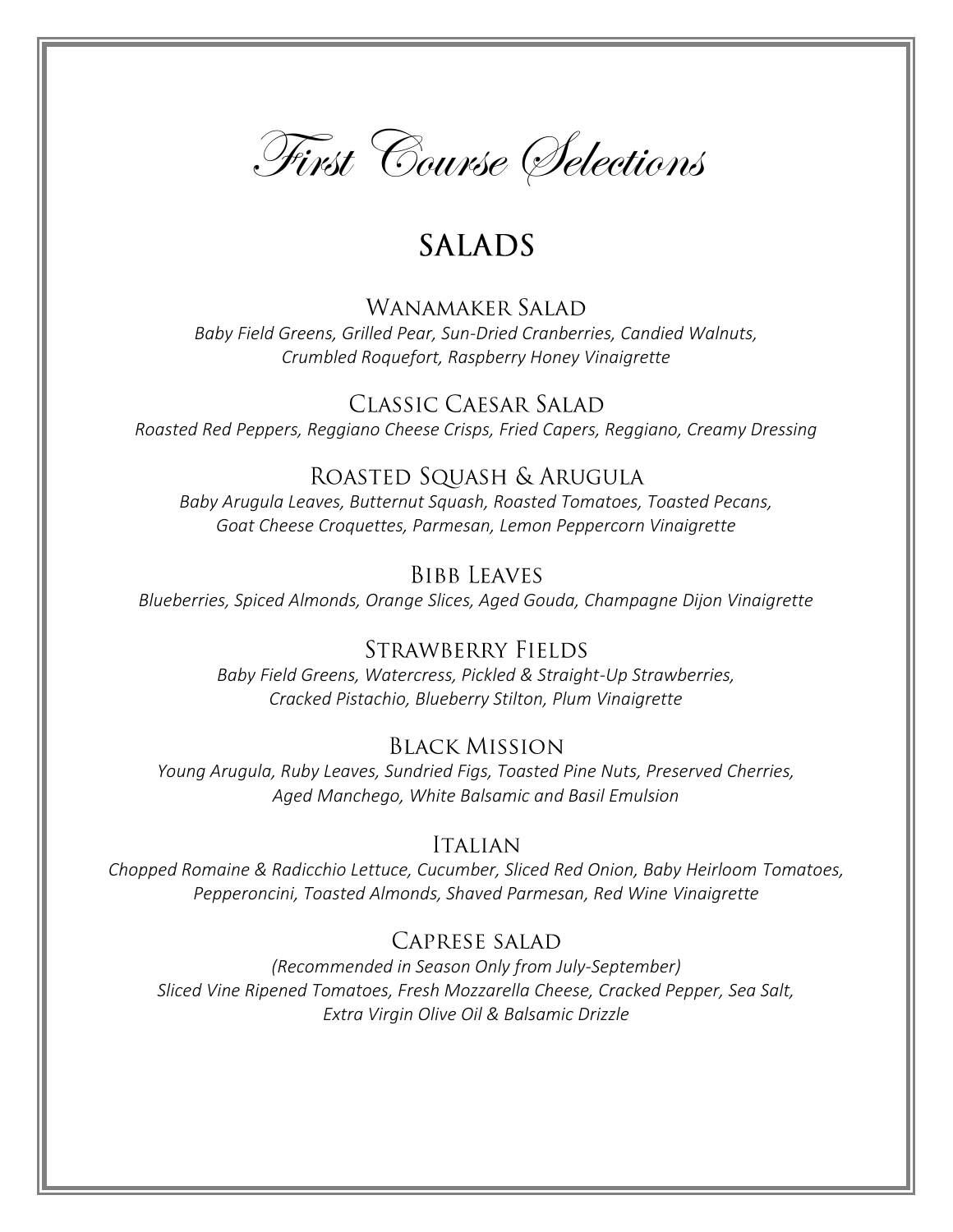

# **SALADS**

## WANAMAKER SALAD

*Baby Field Greens, Grilled Pear, Sun-Dried Cranberries, Candied Walnuts, Crumbled Roquefort, Raspberry Honey Vinaigrette*

**CLASSIC CAESAR SALAD** *Roasted Red Peppers, Reggiano Cheese Crisps, Fried Capers, Reggiano, Creamy Dressing*

## ROASTED SQUASH & ARUGULA

*Baby Arugula Leaves, Butternut Squash, Roasted Tomatoes, Toasted Pecans, Goat Cheese Croquettes, Parmesan, Lemon Peppercorn Vinaigrette*

## **BIBB LEAVES**

*Blueberries, Spiced Almonds, Orange Slices, Aged Gouda, Champagne Dijon Vinaigrette*

## **STRAWBERRY FIELDS**

*Baby Field Greens, Watercress, Pickled & Straight-Up Strawberries, Cracked Pistachio, Blueberry Stilton, Plum Vinaigrette*

## **BLACK MISSION**

*Young Arugula, Ruby Leaves, Sundried Figs, Toasted Pine Nuts, Preserved Cherries, Aged Manchego, White Balsamic and Basil Emulsion*

## **ITALIAN**

*Chopped Romaine & Radicchio Lettuce, Cucumber, Sliced Red Onion, Baby Heirloom Tomatoes, Pepperoncini, Toasted Almonds, Shaved Parmesan, Red Wine Vinaigrette*

## CAPRESE SALAD

*(Recommended in Season Only from July-September) Sliced Vine Ripened Tomatoes, Fresh Mozzarella Cheese, Cracked Pepper, Sea Salt, Extra Virgin Olive Oil & Balsamic Drizzle*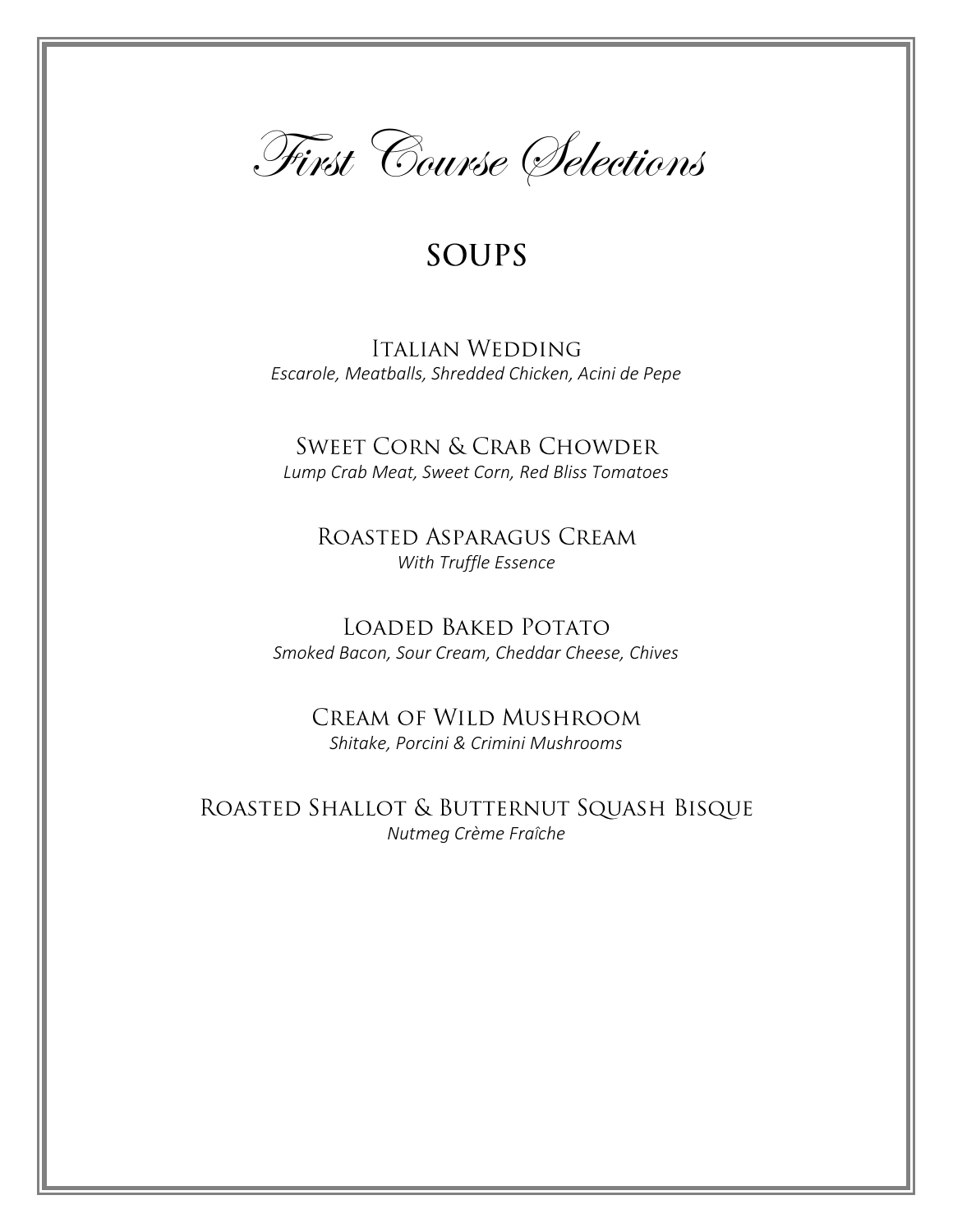

# **SOUPS**

## **ITALIAN WEDDING** *Escarole, Meatballs, Shredded Chicken, Acini de Pepe*

**SWEET CORN & CRAB CHOWDER** *Lump Crab Meat, Sweet Corn, Red Bliss Tomatoes*

ROASTED ASPARAGUS CREAM *With Truffle Essence*

LOADED BAKED POTATO *Smoked Bacon, Sour Cream, Cheddar Cheese, Chives*

CREAM OF WILD MUSHROOM *Shitake, Porcini & Crimini Mushrooms*

ROASTED SHALLOT & BUTTERNUT SQUASH BISQUE *Nutmeg Crème FraÎche*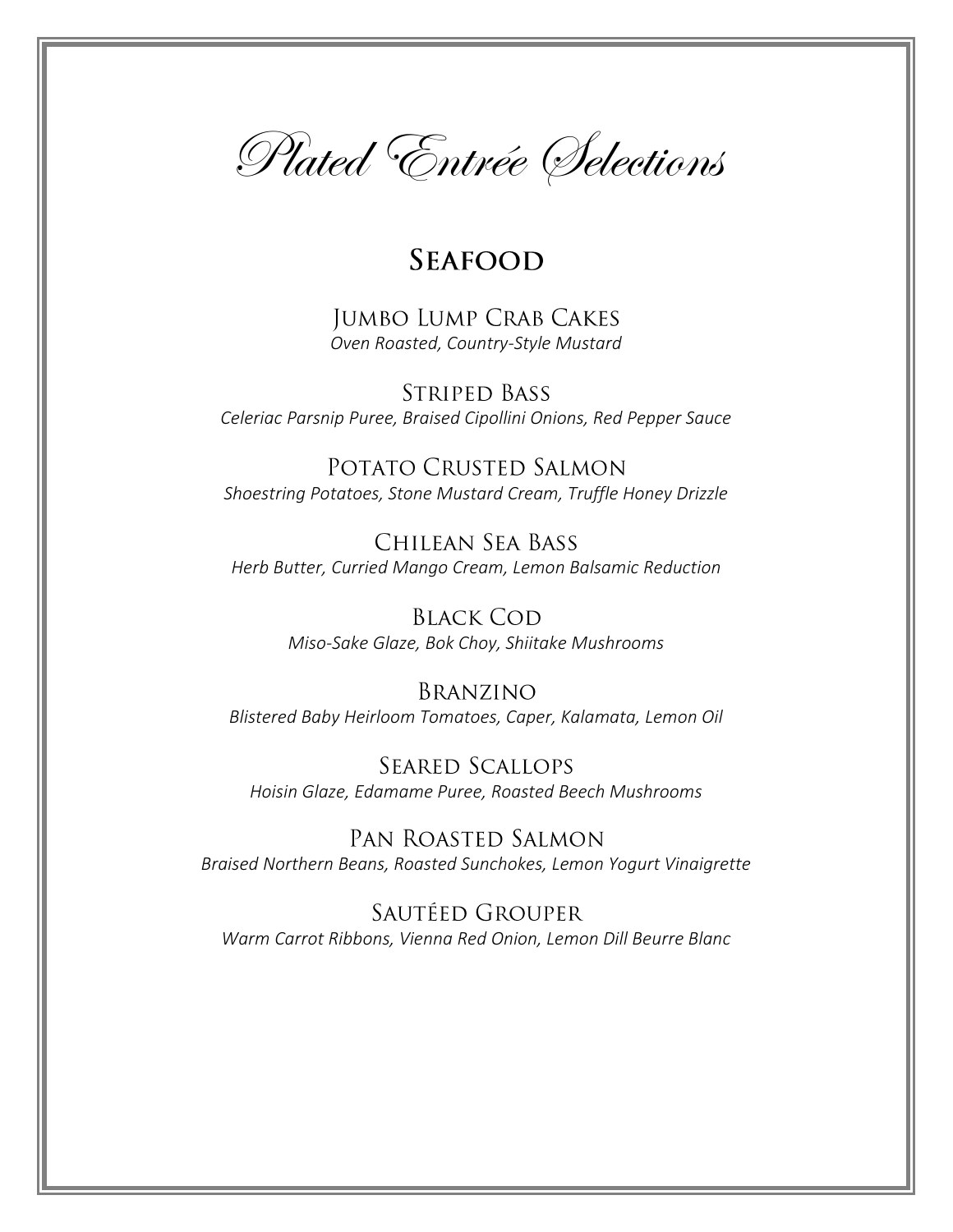

# **SEAFOOD**

**JUMBO LUMP CRAB CAKES** *Oven Roasted, Country-Style Mustard*

**STRIPED BASS** *Celeriac Parsnip Puree, Braised Cipollini Onions, Red Pepper Sauce*

POTATO CRUSTED SALMON *Shoestring Potatoes, Stone Mustard Cream, Truffle Honey Drizzle*

CHILEAN SEA BASS *Herb Butter, Curried Mango Cream, Lemon Balsamic Reduction*

> **BLACK COD** *Miso-Sake Glaze, Bok Choy, Shiitake Mushrooms*

BRANZINO *Blistered Baby Heirloom Tomatoes, Caper, Kalamata, Lemon Oil*

**SEARED SCALLOPS** *Hoisin Glaze, Edamame Puree, Roasted Beech Mushrooms*

PAN ROASTED SALMON *Braised Northern Beans, Roasted Sunchokes, Lemon Yogurt Vinaigrette*

SAUTÉED GROUPER *Warm Carrot Ribbons, Vienna Red Onion, Lemon Dill Beurre Blanc*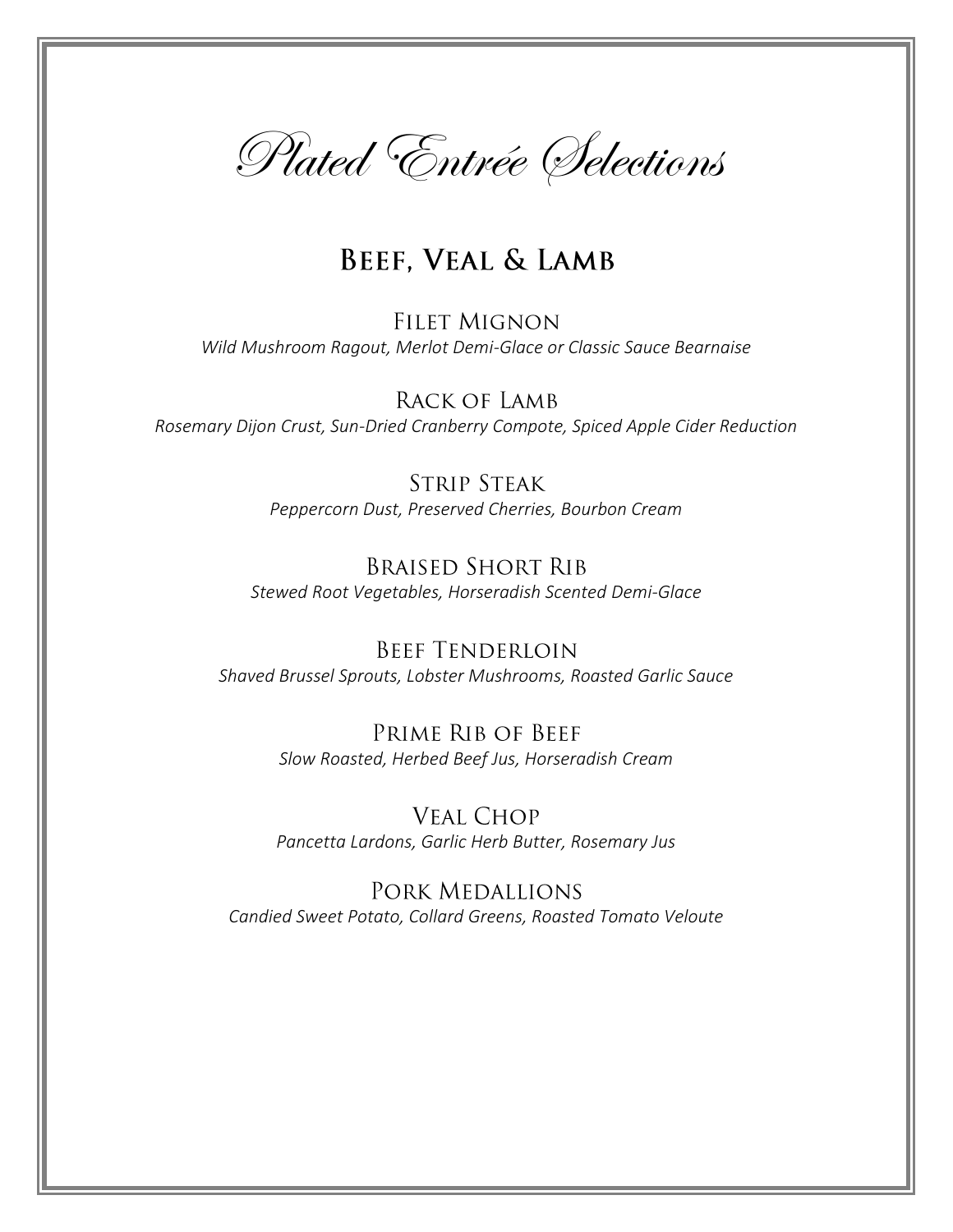

# **BEEF, VEAL & LAMB**

**FILET MIGNON** *Wild Mushroom Ragout, Merlot Demi-Glace or Classic Sauce Bearnaise* 

RACK OF LAMB *Rosemary Dijon Crust, Sun-Dried Cranberry Compote, Spiced Apple Cider Reduction*

> **STRIP STEAK** *Peppercorn Dust, Preserved Cherries, Bourbon Cream*

**BRAISED SHORT RIB** *Stewed Root Vegetables, Horseradish Scented Demi-Glace*

**BEEF TENDERLOIN** *Shaved Brussel Sprouts, Lobster Mushrooms, Roasted Garlic Sauce*

> PRIME RIB OF BEEF *Slow Roasted, Herbed Beef Jus, Horseradish Cream*

> **VEAL CHOP** *Pancetta Lardons, Garlic Herb Butter, Rosemary Jus*

PORK MEDALLIONS *Candied Sweet Potato, Collard Greens, Roasted Tomato Veloute*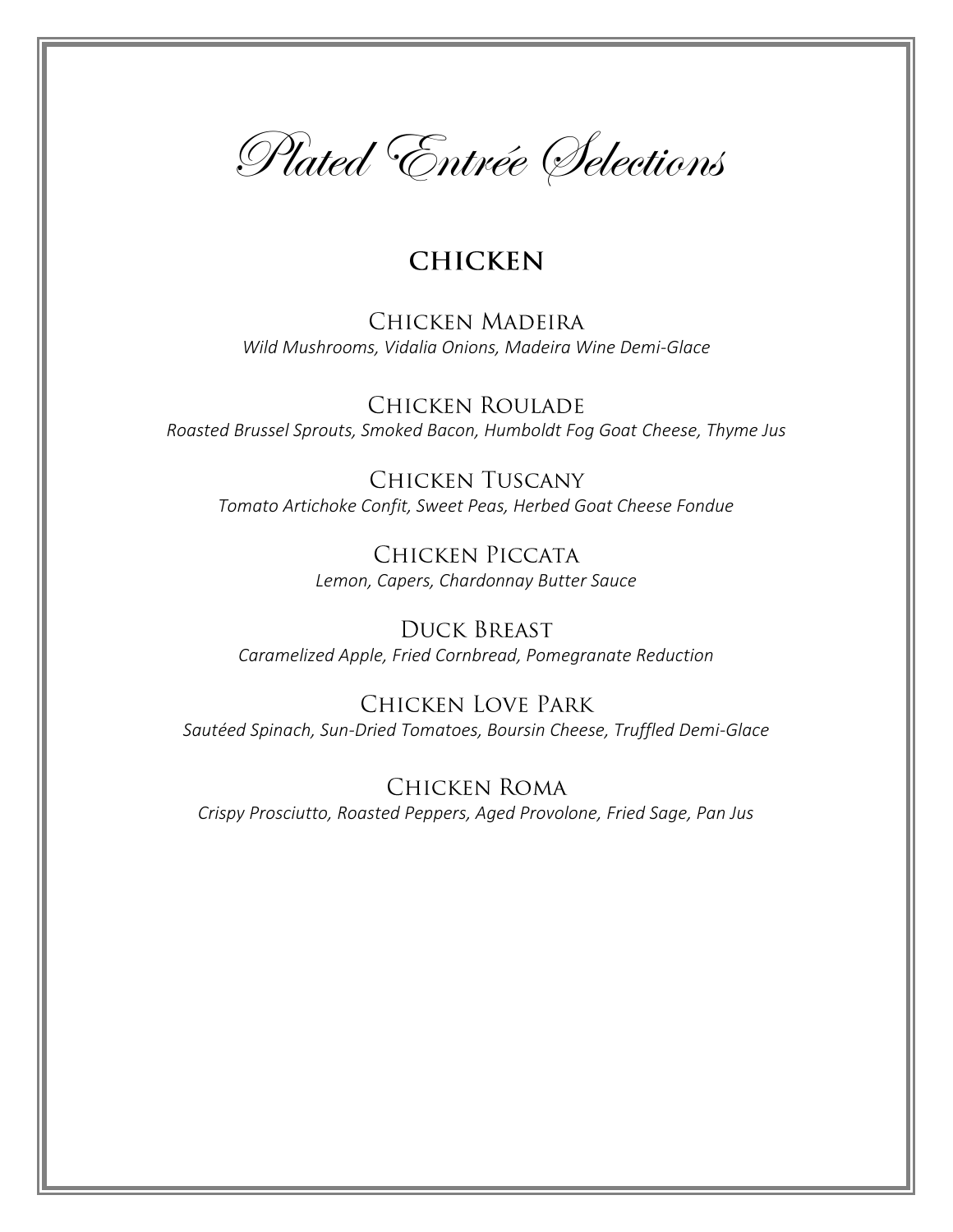

# **CHICKEN**

**CHICKEN MADEIRA** *Wild Mushrooms, Vidalia Onions, Madeira Wine Demi-Glace*

**CHICKEN ROULADE** *Roasted Brussel Sprouts, Smoked Bacon, Humboldt Fog Goat Cheese, Thyme Jus*

**CHICKEN TUSCANY** *Tomato Artichoke Confit, Sweet Peas, Herbed Goat Cheese Fondue*

> CHICKEN PICCATA *Lemon, Capers, Chardonnay Butter Sauce*

**DUCK BREAST** *Caramelized Apple, Fried Cornbread, Pomegranate Reduction*

**CHICKEN LOVE PARK** *Sautéed Spinach, Sun-Dried Tomatoes, Boursin Cheese, Truffled Demi-Glace*

**CHICKEN ROMA** *Crispy Prosciutto, Roasted Peppers, Aged Provolone, Fried Sage, Pan Jus*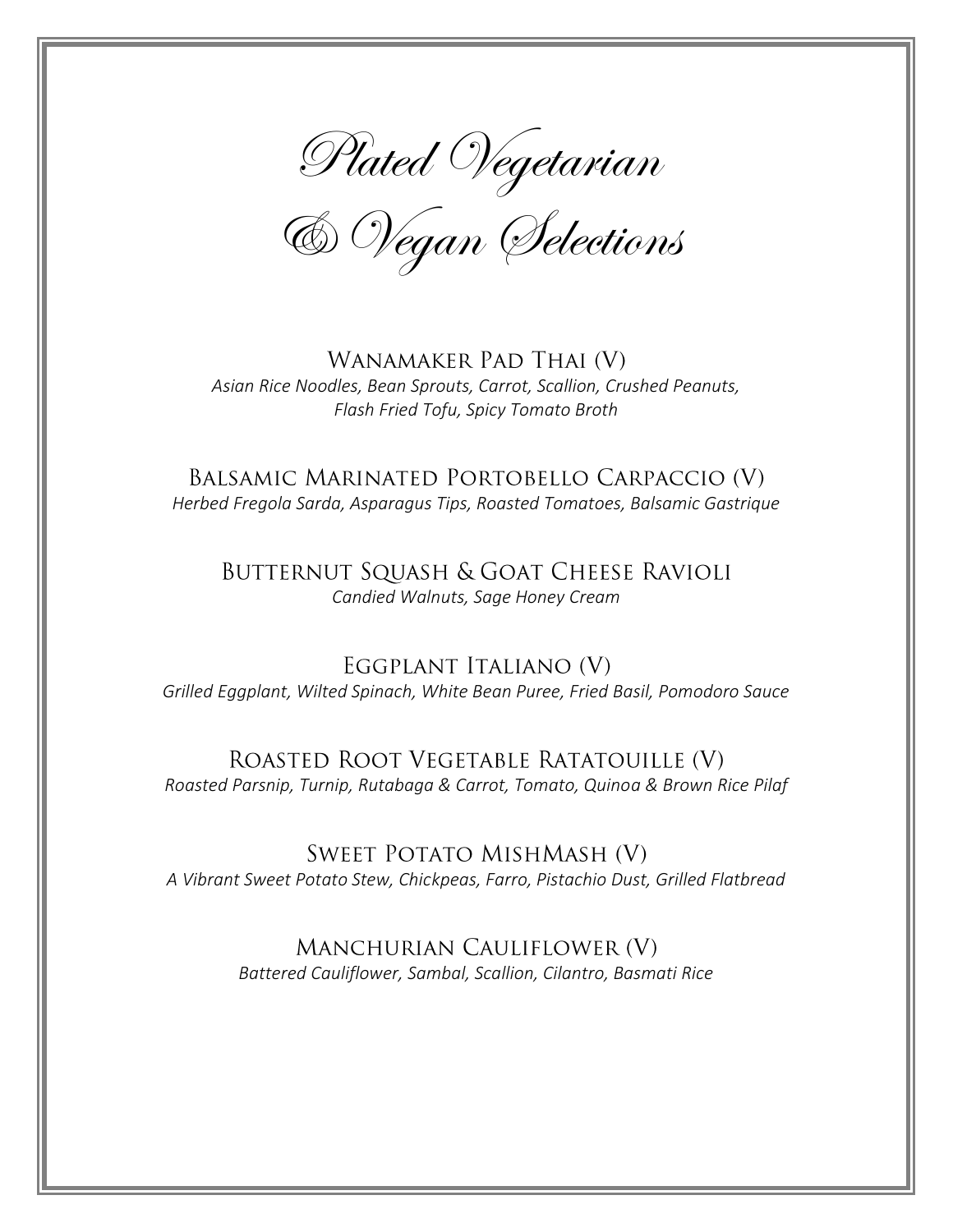Plated Vegetarian

& Vegan Selections

WANAMAKER PAD THAI (V) *Asian Rice Noodles, Bean Sprouts, Carrot, Scallion, Crushed Peanuts, Flash Fried Tofu, Spicy Tomato Broth*

BALSAMIC MARINATED PORTOBELLO CARPACCIO (V) *Herbed Fregola Sarda, Asparagus Tips, Roasted Tomatoes, Balsamic Gastrique*

BUTTERNUT SQUASH & GOAT CHEESE RAVIOLI *Candied Walnuts, Sage Honey Cream*

EGGPLANT ITALIANO (V) *Grilled Eggplant, Wilted Spinach, White Bean Puree, Fried Basil, Pomodoro Sauce*

ROASTED ROOT VEGETABLE RATATOUILLE (V) *Roasted Parsnip, Turnip, Rutabaga & Carrot, Tomato, Quinoa & Brown Rice Pilaf*

**SWEET POTATO MISHMASH (V)** *A Vibrant Sweet Potato Stew, Chickpeas, Farro, Pistachio Dust, Grilled Flatbread*

> MANCHURIAN CAULIFLOWER (V) *Battered Cauliflower, Sambal, Scallion, Cilantro, Basmati Rice*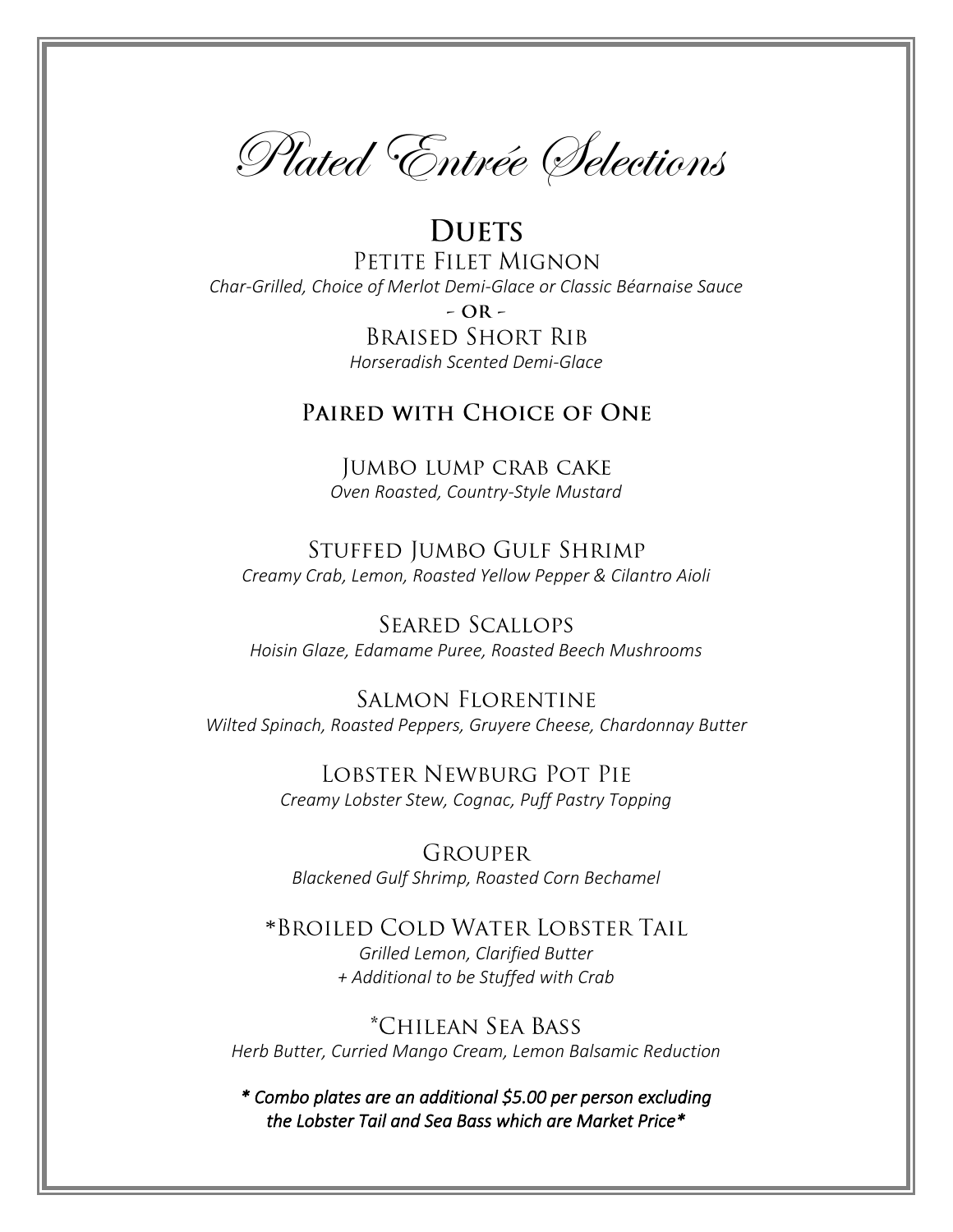Plated Entrée Selections

**DUETS** PETITE FILET MIGNON *Char-Grilled, Choice of Merlot Demi-Glace or Classic Béarnaise Sauce*  $- OR -$ **BRAISED SHORT RIB** *Horseradish Scented Demi-Glace*

## PAIRED WITH CHOICE OF ONE

JUMBO LUMP CRAB CAKE *Oven Roasted, Country-Style Mustard*

STUFFED JUMBO GULF SHRIMP *Creamy Crab, Lemon, Roasted Yellow Pepper & Cilantro Aioli*

**SEARED SCALLOPS** *Hoisin Glaze, Edamame Puree, Roasted Beech Mushrooms*

**SALMON FLORENTINE** *Wilted Spinach, Roasted Peppers, Gruyere Cheese, Chardonnay Butter*

> LOBSTER NEWBURG POT PIE *Creamy Lobster Stew, Cognac, Puff Pastry Topping*

**GROUPER** *Blackened Gulf Shrimp, Roasted Corn Bechamel*

\*BROILED COLD WATER LOBSTER TAIL *Grilled Lemon, Clarified Butter + Additional to be Stuffed with Crab* 

*\*Chilean Sea Bass Herb Butter, Curried Mango Cream, Lemon Balsamic Reduction*

*\* Combo plates are an additional \$5.00 per person excluding the Lobster Tail and Sea Bass which are Market Price\**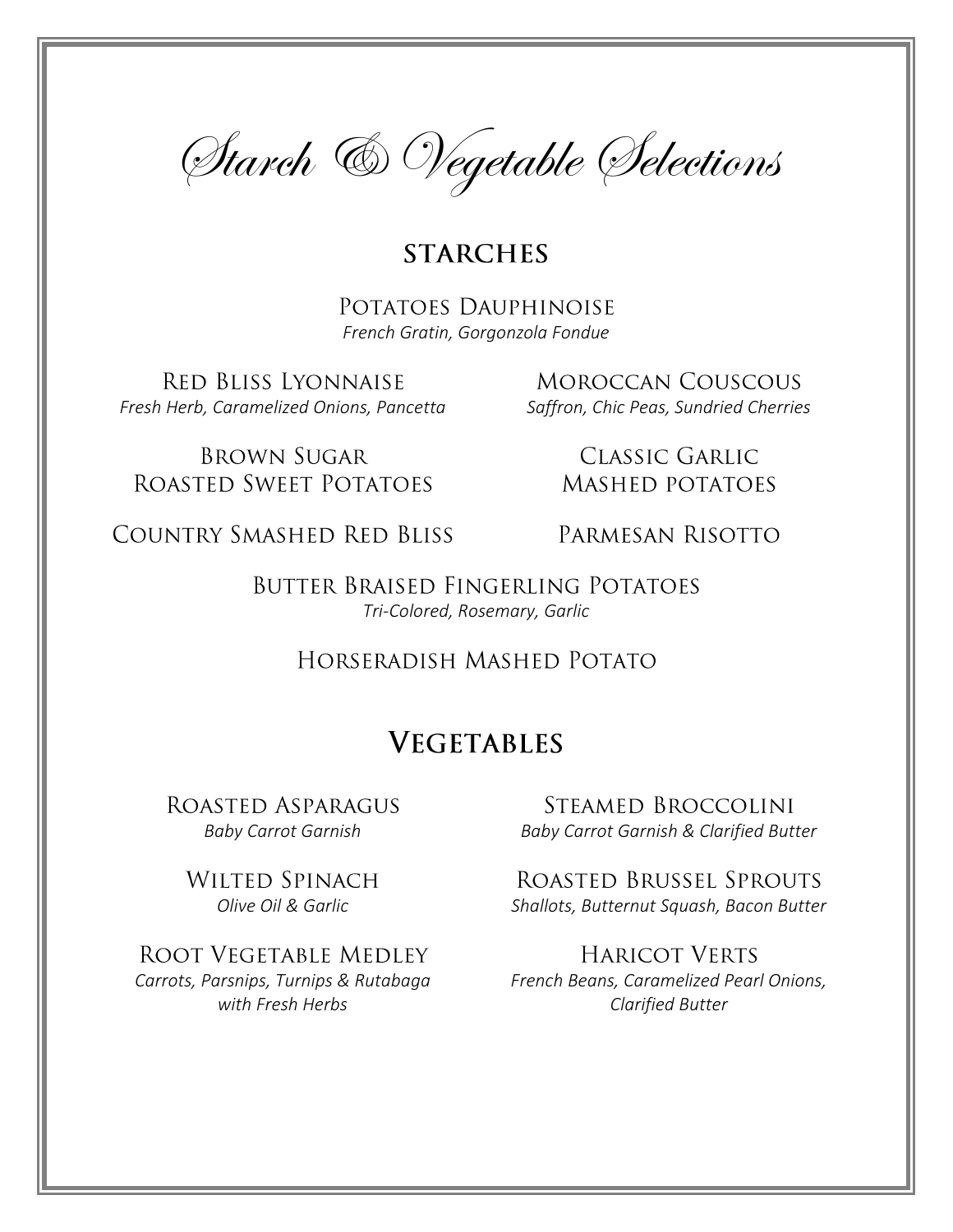

# **STARCHES**

POTATOES DAUPHINOISE *French Gratin, Gorgonzola Fondue*

**RED BLISS LYONNAISE** *Fresh Herb, Caramelized Onions, Pancetta Saffron, Chic Peas, Sundried Cherries*

**MOROCCAN COUSCOUS** 

**BROWN SUGAR** ROASTED SWEET POTATOES

**CLASSIC GARLIC MASHED POTATOES** 

COUNTRY SMASHED RED BLISS

PARMESAN RISOTTO

BUTTER BRAISED FINGERLING POTATOES *Tri-Colored, Rosemary, Garlic*

HORSERADISH MASHED POTATO

# **VEGETABLES**

ROASTED ASPARAGUS

WILTED SPINACH

ROOT VEGETABLE MEDLEY *Carrots, Parsnips, Turnips & Rutabaga with Fresh Herbs*

STEAMED BROCCOLINI *Baby Carrot Garnish Baby Carrot Garnish & Clarified Butter*

ROASTED BRUSSEL SPROUTS *Olive Oil & Garlic Shallots, Butternut Squash, Bacon Butter*

> **HARICOT VERTS** *French Beans, Caramelized Pearl Onions, Clarified Butter*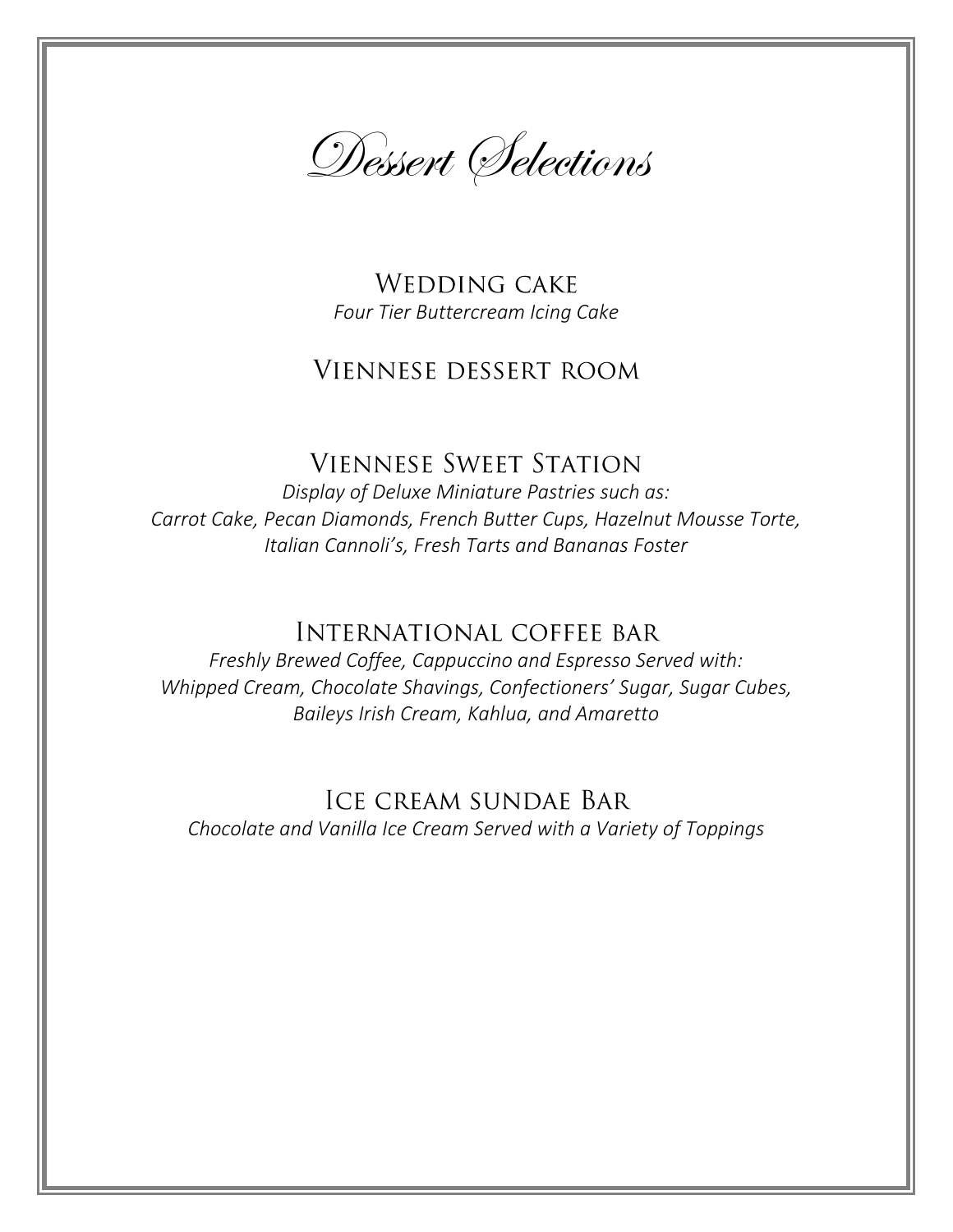

**WEDDING CAKE** *Four Tier Buttercream Icing Cake*

# **VIENNESE DESSERT ROOM**

# **VIENNESE SWEET STATION**

*Display of Deluxe Miniature Pastries such as: Carrot Cake, Pecan Diamonds, French Butter Cups, Hazelnut Mousse Torte, Italian Cannoli's, Fresh Tarts and Bananas Foster* 

# **INTERNATIONAL COFFEE BAR**

*Freshly Brewed Coffee, Cappuccino and Espresso Served with: Whipped Cream, Chocolate Shavings, Confectioners' Sugar, Sugar Cubes, Baileys Irish Cream, Kahlua, and Amaretto*

# **ICE CREAM SUNDAE BAR**

*Chocolate and Vanilla Ice Cream Served with a Variety of Toppings*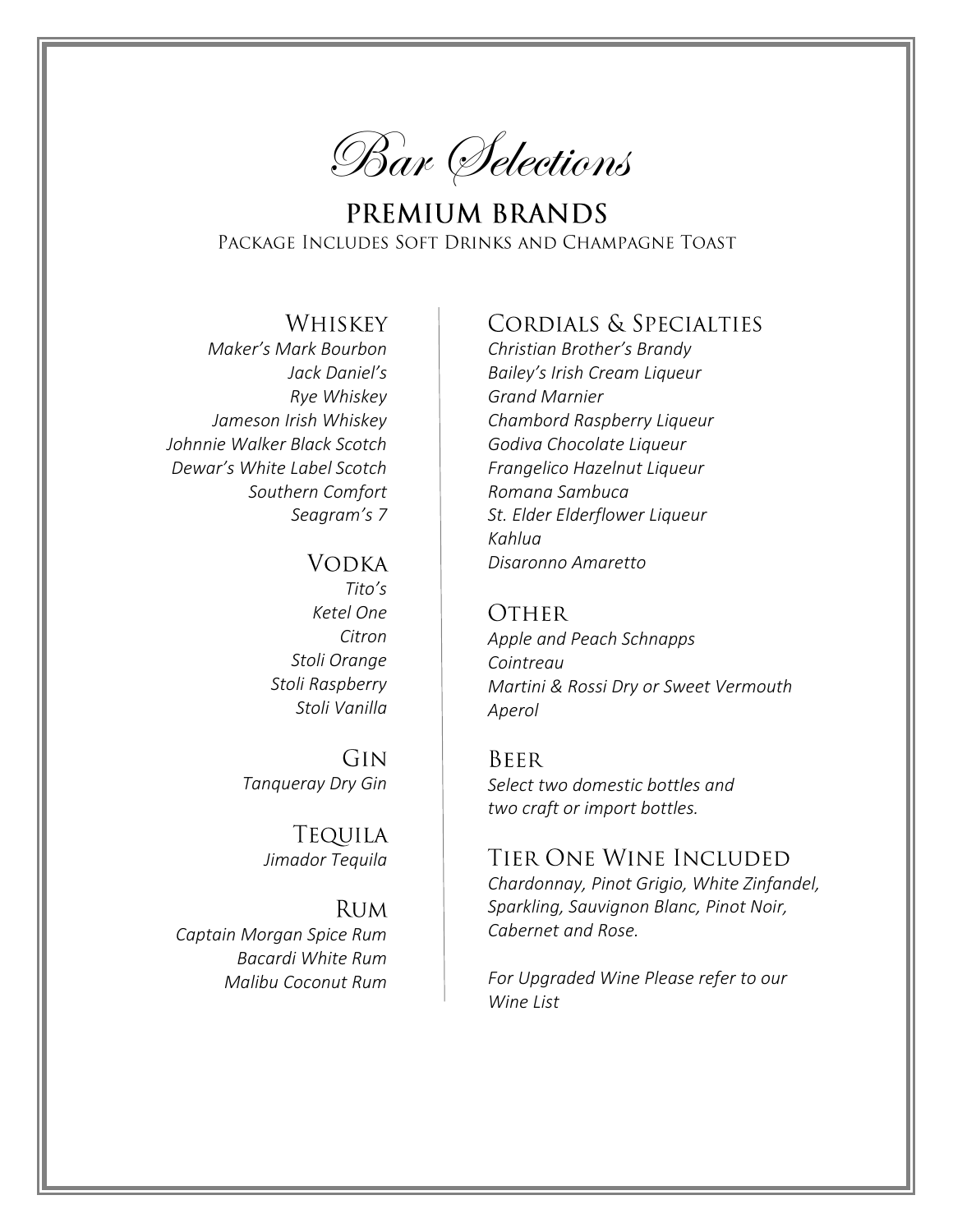

PREMIUM BRANDS PACKAGE INCLUDES SOFT DRINKS AND CHAMPAGNE TOAST

## **WHISKEY**

*Maker's Mark Bourbon Jack Daniel's Rye Whiskey Jameson Irish Whiskey Johnnie Walker Black Scotch Dewar's White Label Scotch Southern Comfort Seagram's 7* 

#### **VODKA**

*Tito's Ketel One Citron Stoli Orange Stoli Raspberry Stoli Vanilla*

GIN *Tanqueray Dry Gin*

> **TEQUILA** *Jimador Tequila*

**RUM** *Captain Morgan Spice Rum Bacardi White Rum Malibu Coconut Rum*

# CORDIALS & SPECIALTIES

*Christian Brother's Brandy Bailey's Irish Cream Liqueur Grand Marnier Chambord Raspberry Liqueur Godiva Chocolate Liqueur Frangelico Hazelnut Liqueur Romana Sambuca St. Elder Elderflower Liqueur Kahlua Disaronno Amaretto*

#### **OTHER**

*Apple and Peach Schnapps Cointreau Martini & Rossi Dry or Sweet Vermouth Aperol*

#### **BEER**

*Select two domestic bottles and two craft or import bottles.*

## TIER ONE WINE INCLUDED

*Chardonnay, Pinot Grigio, White Zinfandel, Sparkling, Sauvignon Blanc, Pinot Noir, Cabernet and Rose.*

*For Upgraded Wine Please refer to our Wine List*